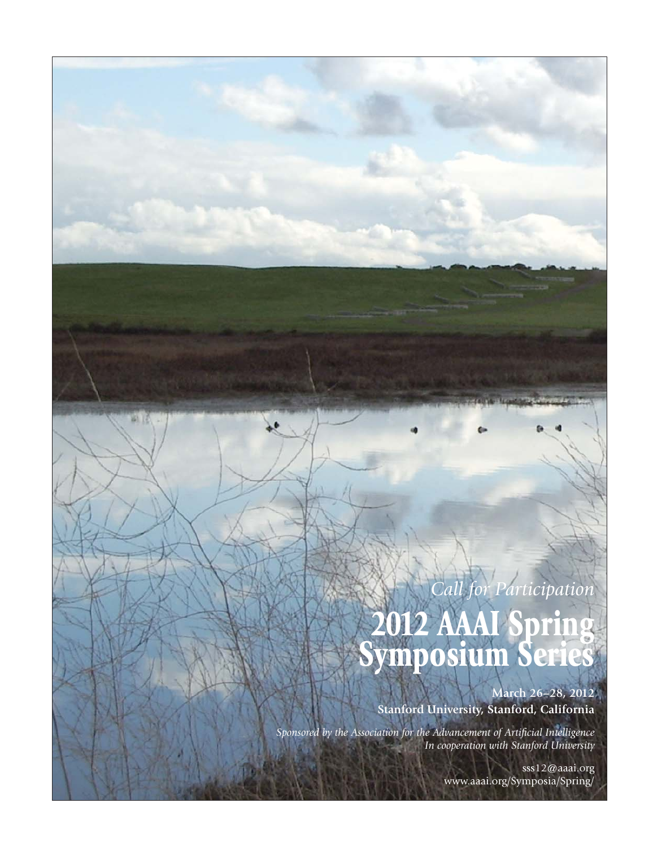# *Call for Participation* **2012 AAAI Spring Symposium Series**

**March 26–28, 2012 Stanford University, Stanford, California**

*Sponsored by the Association for the Advancement of Artificial Intelligence In cooperation with Stanford University*

> sss12@aaai.org www.aaai.org/Symposia/Spring/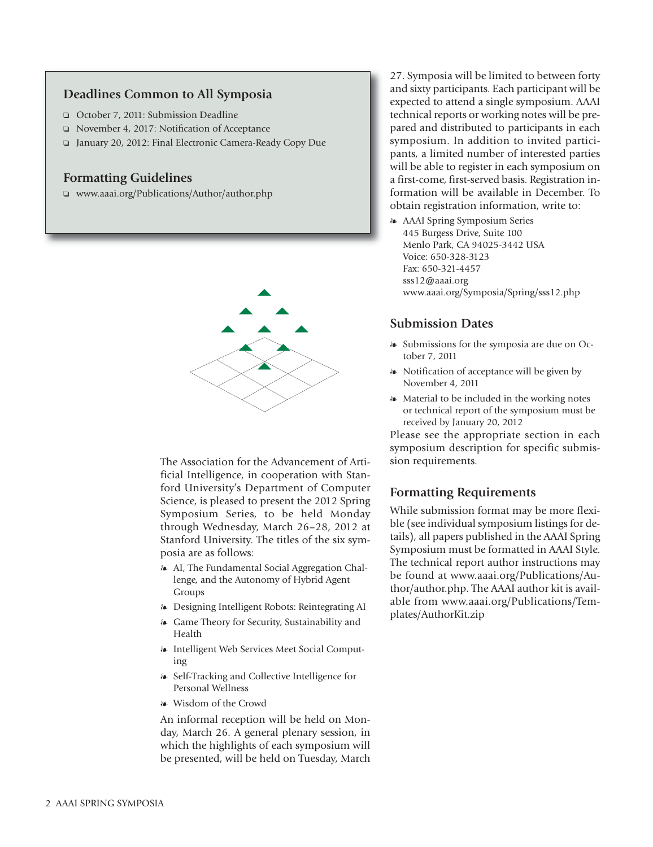#### **Deadlines Common to All Symposia**

- ❏ October 7, 2011: Submission Deadline
- ❏ November 4, 2017: Notification of Acceptance
- ❏ January 20, 2012: Final Electronic Camera-Ready Copy Due

#### **Formatting Guidelines**

❏ www.aaai.org/Publications/Author/author.php



The Association for the Advancement of Artificial Intelligence, in cooperation with Stanford University's Department of Computer Science, is pleased to present the 2012 Spring Symposium Series, to be held Monday through Wednesday, March 26–28, 2012 at Stanford University. The titles of the six symposia are as follows:

- AI, The Fundamental Social Aggregation Challenge, and the Autonomy of Hybrid Agent Groups
- Designing Intelligent Robots: Reintegrating AI
- Game Theory for Security, Sustainability and Health
- Intelligent Web Services Meet Social Computing
- Self-Tracking and Collective Intelligence for Personal Wellness
- Wisdom of the Crowd

An informal reception will be held on Monday, March 26. A general plenary session, in which the highlights of each symposium will be presented, will be held on Tuesday, March

27. Symposia will be limited to between forty and sixty participants. Each participant will be expected to attend a single symposium. AAAI technical reports or working notes will be prepared and distributed to participants in each symposium. In addition to invited participants, a limited number of interested parties will be able to register in each symposium on a first-come, first-served basis. Registration information will be available in December. To obtain registration information, write to:

- AAAI Spring Symposium Series 445 Burgess Drive, Suite 100 Menlo Park, CA 94025-3442 USA Voice: 650-328-3123 Fax: 650-321-4457 sss12@aaai.org www.aaai.org/Symposia/Spring/sss12.php

## **Submission Dates**

- Submissions for the symposia are due on October 7, 2011
- Notification of acceptance will be given by November 4, 2011
- Material to be included in the working notes or technical report of the symposium must be received by January 20, 2012

Please see the appropriate section in each symposium description for specific submission requirements.

#### **Formatting Requirements**

While submission format may be more flexible (see individual symposium listings for details), all papers published in the AAAI Spring Symposium must be formatted in AAAI Style. The technical report author instructions may be found at www.aaai.org/Publications/Author/author.php. The AAAI author kit is available from www.aaai.org/Publications/Templates/AuthorKit.zip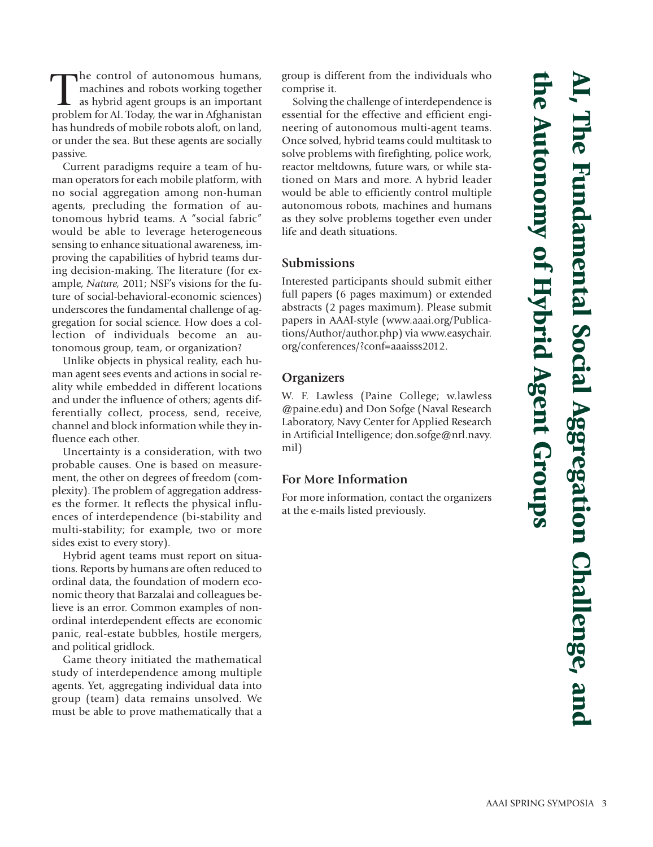**AI, The Fundamental Social Aggregation Challenge, and the Autonomy of Hybrid Agent Groups** the Autonomy of Hybrid Agent Groups he Fundamental Social Aggregation Challenge, and

The control of autonomous humans,<br>machines and robots working together<br>as hybrid agent groups is an important<br>problem for AI Today, the war in Afghanistan machines and robots working together as hybrid agent groups is an important problem for AI. Today, the war in Afghanistan has hundreds of mobile robots aloft, on land, or under the sea. But these agents are socially passive.

Current paradigms require a team of human operators for each mobile platform, with no social aggregation among non-human agents, precluding the formation of autonomous hybrid teams. A "social fabric" would be able to leverage heterogeneous sensing to enhance situational awareness, improving the capabilities of hybrid teams during decision-making. The literature (for example, *Nature,* 2011; NSF's visions for the future of social-behavioral-economic sciences) underscores the fundamental challenge of aggregation for social science. How does a collection of individuals become an autonomous group, team, or organization?

Unlike objects in physical reality, each human agent sees events and actions in social reality while embedded in different locations and under the influence of others; agents differentially collect, process, send, receive, channel and block information while they influence each other.

Uncertainty is a consideration, with two probable causes. One is based on measurement, the other on degrees of freedom (complexity). The problem of aggregation addresses the former. It reflects the physical influences of interdependence (bi-stability and multi-stability; for example, two or more sides exist to every story).

Hybrid agent teams must report on situations. Reports by humans are often reduced to ordinal data, the foundation of modern economic theory that Barzalai and colleagues believe is an error. Common examples of nonordinal interdependent effects are economic panic, real-estate bubbles, hostile mergers, and political gridlock.

Game theory initiated the mathematical study of interdependence among multiple agents. Yet, aggregating individual data into group (team) data remains unsolved. We must be able to prove mathematically that a group is different from the individuals who comprise it.

Solving the challenge of interdependence is essential for the effective and efficient engineering of autonomous multi-agent teams. Once solved, hybrid teams could multitask to solve problems with firefighting, police work, reactor meltdowns, future wars, or while stationed on Mars and more. A hybrid leader would be able to efficiently control multiple autonomous robots, machines and humans as they solve problems together even under life and death situations.

# **Submissions**

Interested participants should submit either full papers (6 pages maximum) or extended abstracts (2 pages maximum). Please submit papers in AAAI-style (www.aaai.org/Publications/Author/author.php) via www.easychair. org/conferences/?conf=aaaisss2012.

# **Organizers**

W. F. Lawless (Paine College; w.lawless @paine.edu) and Don Sofge (Naval Research Laboratory, Navy Center for Applied Research in Artificial Intelligence; don.sofge@nrl.navy. mil)

# **For More Information**

For more information, contact the organizers at the e-mails listed previously.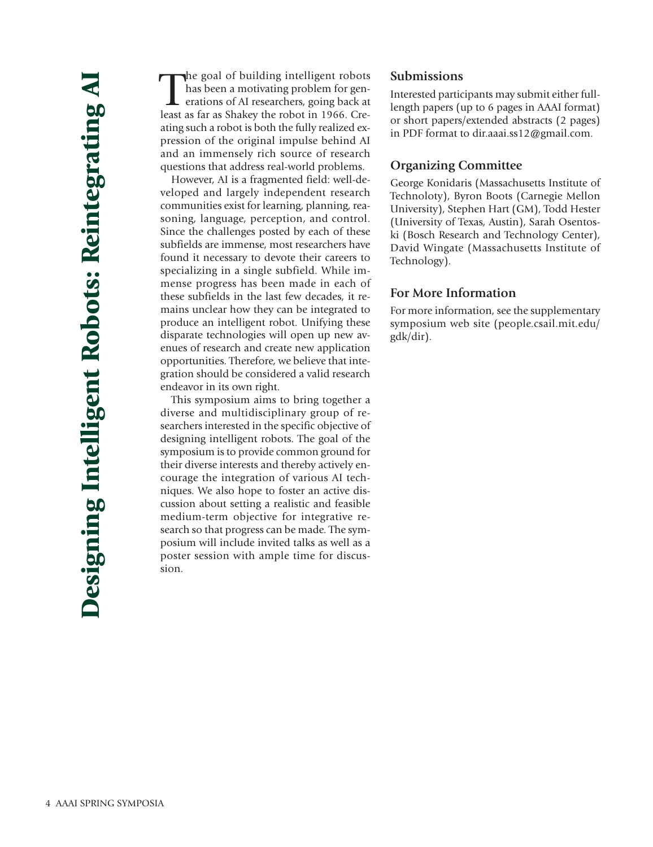The goal of building intelligent robots<br>has been a motivating problem for gen-<br>erations of AI researchers, going back at<br>least as far as Shakey the robot in 1966. Crehe goal of building intelligent robots has been a motivating problem for generations of AI researchers, going back at ating such a robot is both the fully realized expression of the original impulse behind AI and an immensely rich source of research questions that address real-world problems.

However, AI is a fragmented field: well-developed and largely independent research communities exist for learning, planning, reasoning, language, perception, and control. Since the challenges posted by each of these subfields are immense, most researchers have found it necessary to devote their careers to specializing in a single subfield. While immense progress has been made in each of these subfields in the last few decades, it remains unclear how they can be integrated to produce an intelligent robot. Unifying these disparate technologies will open up new avenues of research and create new application opportunities. Therefore, we believe that integration should be considered a valid research endeavor in its own right.

This symposium aims to bring together a diverse and multidisciplinary group of researchers interested in the specific objective of designing intelligent robots. The goal of the symposium is to provide common ground for their diverse interests and thereby actively encourage the integration of various AI techniques. We also hope to foster an active discussion about setting a realistic and feasible medium-term objective for integrative research so that progress can be made. The symposium will include invited talks as well as a poster session with ample time for discussion.

#### **Submissions**

Interested participants may submit either fulllength papers (up to 6 pages in AAAI format) or short papers/extended abstracts (2 pages) in PDF format to dir.aaai.ss12@gmail.com.

# **Organizing Committee**

George Konidaris (Massachusetts Institute of Technoloty), Byron Boots (Carnegie Mellon University), Stephen Hart (GM), Todd Hester (University of Texas, Austin), Sarah Osentoski (Bosch Research and Technology Center), David Wingate (Massachusetts Institute of Technology).

# **For More Information**

For more information, see the supplementary symposium web site (people.csail.mit.edu/ gdk/dir).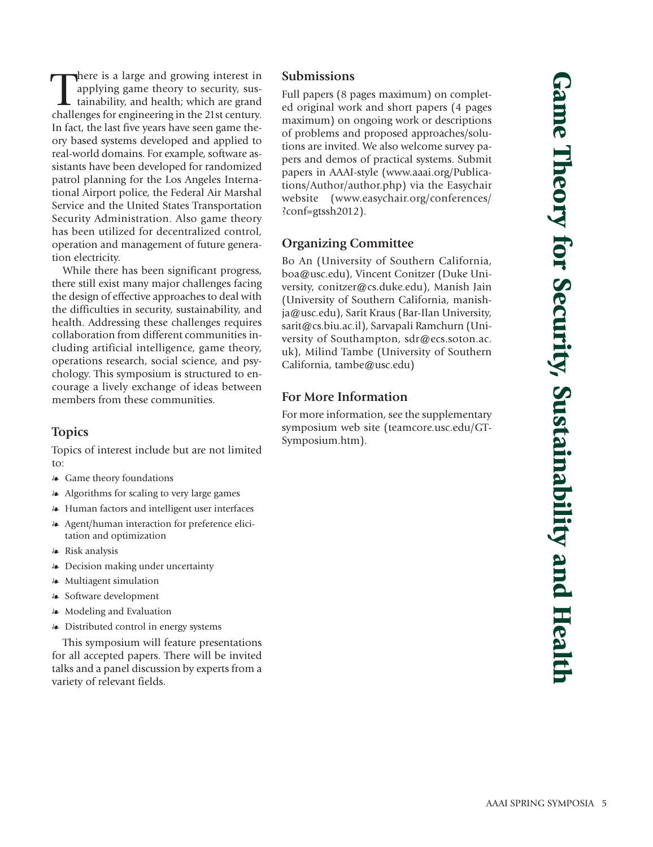There is a large and growing interest in applying game theory to security, sustainability, and health; which are grand challenges for engineering in the 21st century. here is a large and growing interest in applying game theory to security, sustainability, and health; which are grand In fact, the last five years have seen game theory based systems developed and applied to real-world domains. For example, software assistants have been developed for randomized patrol planning for the Los Angeles International Airport police, the Federal Air Marshal Service and the United States Transportation Security Administration. Also game theory has been utilized for decentralized control, operation and management of future generation electricity.

While there has been significant progress, there still exist many major challenges facing the design of effective approaches to deal with the difficulties in security, sustainability, and health. Addressing these challenges requires collaboration from different communities including artificial intelligence, game theory, operations research, social science, and psychology. This symposium is structured to encourage a lively exchange of ideas between members from these communities.

# **Topics**

Topics of interest include but are not limited to:

- Game theory foundations
- Algorithms for scaling to very large games
- Human factors and intelligent user interfaces
- Agent/human interaction for preference elicitation and optimization
- Risk analysis
- Decision making under uncertainty
- Multiagent simulation
- Software development
- Modeling and Evaluation
- Distributed control in energy systems

This symposium will feature presentations for all accepted papers. There will be invited talks and a panel discussion by experts from a variety of relevant fields.

## **Submissions**

Full papers (8 pages maximum) on completed original work and short papers (4 pages maximum) on ongoing work or descriptions of problems and proposed approaches/solutions are invited. We also welcome survey papers and demos of practical systems. Submit papers in AAAI-style (www.aaai.org/Publications/Author/author.php) via the Easychair website (www.easychair.org/conferences/ ?conf=gtssh2012).

# **Organizing Committee**

Bo An (University of Southern California, boa@usc.edu), Vincent Conitzer (Duke University, conitzer@cs.duke.edu), Manish Jain (University of Southern California, manishja@usc.edu), Sarit Kraus (Bar-Ilan University, sarit@cs.biu.ac.il), Sarvapali Ramchurn (University of Southampton, sdr@ecs.soton.ac. uk), Milind Tambe (University of Southern California, tambe@usc.edu)

# **For More Information**

For more information, see the supplementary symposium web site (teamcore.usc.edu/GT-Symposium.htm).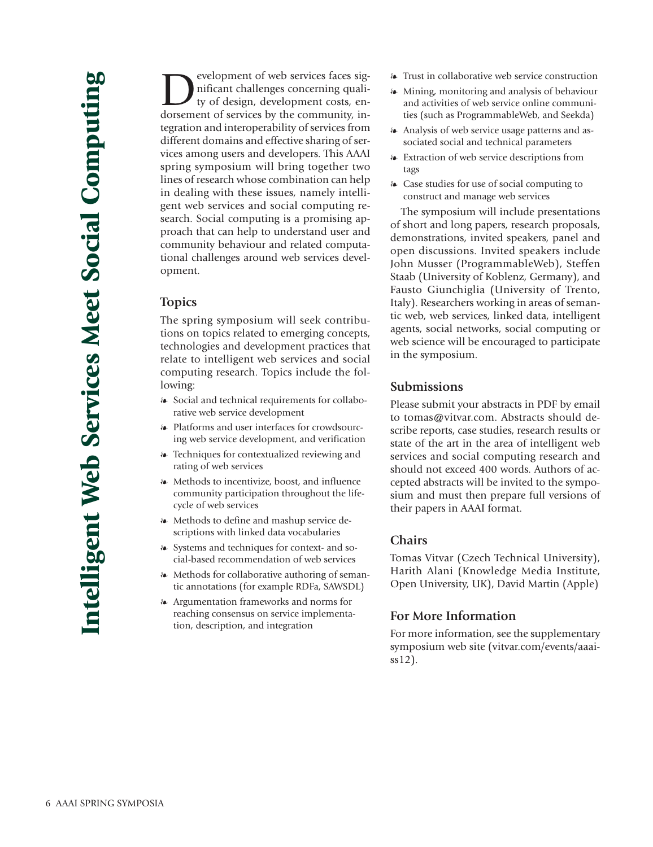**Development of web services faces significant challenges concerning quality of design, development costs, en-**<br>dorsement of services by the community innificant challenges concerning quality of design, development costs, endorsement of services by the community, integration and interoperability of services from different domains and effective sharing of services among users and developers. This AAAI spring symposium will bring together two lines of research whose combination can help in dealing with these issues, namely intelligent web services and social computing research. Social computing is a promising approach that can help to understand user and community behaviour and related computational challenges around web services development.

#### **Topics**

The spring symposium will seek contributions on topics related to emerging concepts, technologies and development practices that relate to intelligent web services and social computing research. Topics include the following:

- Social and technical requirements for collaborative web service development
- Platforms and user interfaces for crowdsourcing web service development, and verification
- Techniques for contextualized reviewing and rating of web services
- Methods to incentivize, boost, and influence community participation throughout the lifecycle of web services
- Methods to define and mashup service descriptions with linked data vocabularies
- Systems and techniques for context- and social-based recommendation of web services
- Methods for collaborative authoring of semantic annotations (for example RDFa, SAWSDL)
- Argumentation frameworks and norms for reaching consensus on service implementation, description, and integration
- Trust in collaborative web service construction
- Mining, monitoring and analysis of behaviour and activities of web service online communities (such as ProgrammableWeb, and Seekda)
- Analysis of web service usage patterns and associated social and technical parameters
- Extraction of web service descriptions from tags
- Case studies for use of social computing to construct and manage web services

The symposium will include presentations of short and long papers, research proposals, demonstrations, invited speakers, panel and open discussions. Invited speakers include John Musser (ProgrammableWeb), Steffen Staab (University of Koblenz, Germany), and Fausto Giunchiglia (University of Trento, Italy). Researchers working in areas of semantic web, web services, linked data, intelligent agents, social networks, social computing or web science will be encouraged to participate in the symposium.

#### **Submissions**

Please submit your abstracts in PDF by email to tomas@vitvar.com. Abstracts should describe reports, case studies, research results or state of the art in the area of intelligent web services and social computing research and should not exceed 400 words. Authors of accepted abstracts will be invited to the symposium and must then prepare full versions of their papers in AAAI format.

#### **Chairs**

Tomas Vitvar (Czech Technical University), Harith Alani (Knowledge Media Institute, Open University, UK), David Martin (Apple)

# **For More Information**

For more information, see the supplementary symposium web site (vitvar.com/events/aaaiss12).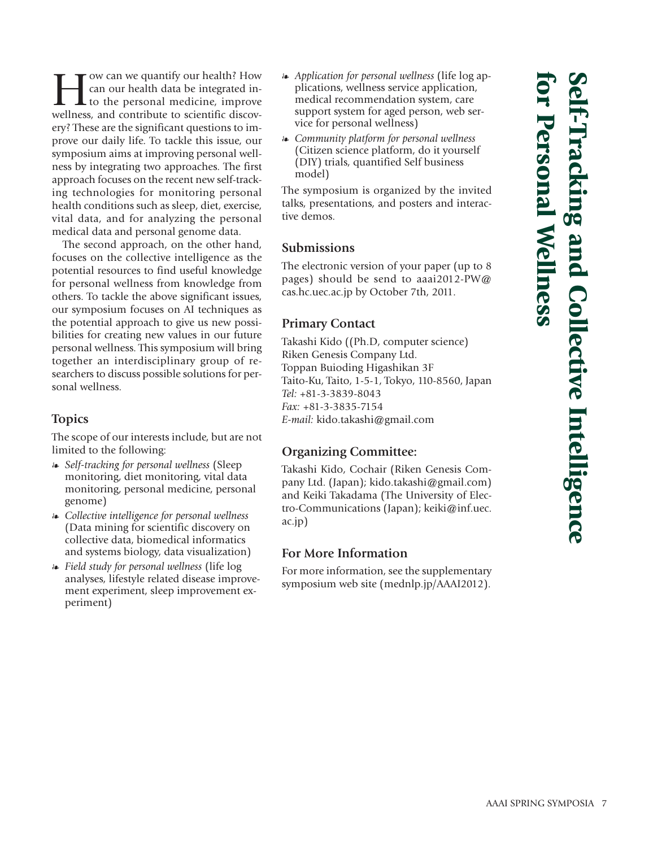I we quantify our health? How<br>can our health data be integrated in-<br>to the personal medicine, improve<br>wellness, and contribute to scientific discovcan our health data be integrated into the personal medicine, improve wellness, and contribute to scientific discovery? These are the significant questions to improve our daily life. To tackle this issue, our symposium aims at improving personal wellness by integrating two approaches. The first approach focuses on the recent new self-tracking technologies for monitoring personal health conditions such as sleep, diet, exercise, vital data, and for analyzing the personal medical data and personal genome data.

The second approach, on the other hand, focuses on the collective intelligence as the potential resources to find useful knowledge for personal wellness from knowledge from others. To tackle the above significant issues, our symposium focuses on AI techniques as the potential approach to give us new possibilities for creating new values in our future personal wellness. This symposium will bring together an interdisciplinary group of researchers to discuss possible solutions for personal wellness.

# **Topics**

The scope of our interests include, but are not limited to the following:

- *Self-tracking for personal wellness* (Sleep monitoring, diet monitoring, vital data monitoring, personal medicine, personal genome)
- *Collective intelligence for personal wellness* (Data mining for scientific discovery on collective data, biomedical informatics and systems biology, data visualization)
- *Field study for personal wellness* (life log analyses, lifestyle related disease improvement experiment, sleep improvement experiment)
- *Application for personal wellness* (life log applications, wellness service application, medical recommendation system, care support system for aged person, web service for personal wellness)
- *Community platform for personal wellness* (Citizen science platform, do it yourself (DIY) trials, quantified Self business model)

The symposium is organized by the invited talks, presentations, and posters and interactive demos.

#### **Submissions**

The electronic version of your paper (up to 8 pages) should be send to aaai2012-PW@ cas.hc.uec.ac.jp by October 7th, 2011.

#### **Primary Contact**

Takashi Kido ((Ph.D, computer science) Riken Genesis Company Ltd. Toppan Buioding Higashikan 3F Taito-Ku, Taito, 1-5-1, Tokyo, 110-8560, Japan *Tel:* +81-3-3839-8043 *Fax:* +81-3-3835-7154 *E-mail:* kido.takashi@gmail.com

#### **Organizing Committee:**

Takashi Kido, Cochair (Riken Genesis Company Ltd. (Japan); kido.takashi@gmail.com) and Keiki Takadama (The University of Electro-Communications (Japan); keiki@inf.uec. ac.jp)

## **For More Information**

For more information, see the supplementary symposium web site (mednlp.jp/AAAI2012).